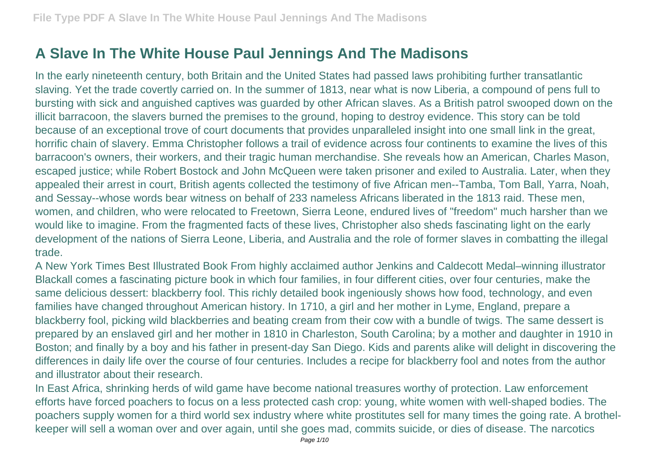## **A Slave In The White House Paul Jennings And The Madisons**

In the early nineteenth century, both Britain and the United States had passed laws prohibiting further transatlantic slaving. Yet the trade covertly carried on. In the summer of 1813, near what is now Liberia, a compound of pens full to bursting with sick and anguished captives was guarded by other African slaves. As a British patrol swooped down on the illicit barracoon, the slavers burned the premises to the ground, hoping to destroy evidence. This story can be told because of an exceptional trove of court documents that provides unparalleled insight into one small link in the great, horrific chain of slavery. Emma Christopher follows a trail of evidence across four continents to examine the lives of this barracoon's owners, their workers, and their tragic human merchandise. She reveals how an American, Charles Mason, escaped justice; while Robert Bostock and John McQueen were taken prisoner and exiled to Australia. Later, when they appealed their arrest in court, British agents collected the testimony of five African men--Tamba, Tom Ball, Yarra, Noah, and Sessay--whose words bear witness on behalf of 233 nameless Africans liberated in the 1813 raid. These men, women, and children, who were relocated to Freetown, Sierra Leone, endured lives of "freedom" much harsher than we would like to imagine. From the fragmented facts of these lives, Christopher also sheds fascinating light on the early development of the nations of Sierra Leone, Liberia, and Australia and the role of former slaves in combatting the illegal trade.

A New York Times Best Illustrated Book From highly acclaimed author Jenkins and Caldecott Medal–winning illustrator Blackall comes a fascinating picture book in which four families, in four different cities, over four centuries, make the same delicious dessert: blackberry fool. This richly detailed book ingeniously shows how food, technology, and even families have changed throughout American history. In 1710, a girl and her mother in Lyme, England, prepare a blackberry fool, picking wild blackberries and beating cream from their cow with a bundle of twigs. The same dessert is prepared by an enslaved girl and her mother in 1810 in Charleston, South Carolina; by a mother and daughter in 1910 in Boston; and finally by a boy and his father in present-day San Diego. Kids and parents alike will delight in discovering the differences in daily life over the course of four centuries. Includes a recipe for blackberry fool and notes from the author and illustrator about their research.

In East Africa, shrinking herds of wild game have become national treasures worthy of protection. Law enforcement efforts have forced poachers to focus on a less protected cash crop: young, white women with well-shaped bodies. The poachers supply women for a third world sex industry where white prostitutes sell for many times the going rate. A brothelkeeper will sell a woman over and over again, until she goes mad, commits suicide, or dies of disease. The narcotics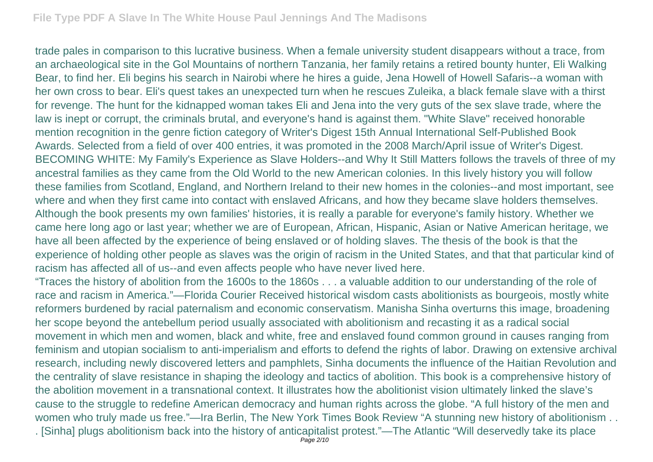trade pales in comparison to this lucrative business. When a female university student disappears without a trace, from an archaeological site in the Gol Mountains of northern Tanzania, her family retains a retired bounty hunter, Eli Walking Bear, to find her. Eli begins his search in Nairobi where he hires a guide, Jena Howell of Howell Safaris--a woman with her own cross to bear. Eli's quest takes an unexpected turn when he rescues Zuleika, a black female slave with a thirst for revenge. The hunt for the kidnapped woman takes Eli and Jena into the very guts of the sex slave trade, where the law is inept or corrupt, the criminals brutal, and everyone's hand is against them. "White Slave" received honorable mention recognition in the genre fiction category of Writer's Digest 15th Annual International Self-Published Book Awards. Selected from a field of over 400 entries, it was promoted in the 2008 March/April issue of Writer's Digest. BECOMING WHITE: My Family's Experience as Slave Holders--and Why It Still Matters follows the travels of three of my ancestral families as they came from the Old World to the new American colonies. In this lively history you will follow these families from Scotland, England, and Northern Ireland to their new homes in the colonies--and most important, see where and when they first came into contact with enslaved Africans, and how they became slave holders themselves. Although the book presents my own families' histories, it is really a parable for everyone's family history. Whether we came here long ago or last year; whether we are of European, African, Hispanic, Asian or Native American heritage, we have all been affected by the experience of being enslaved or of holding slaves. The thesis of the book is that the experience of holding other people as slaves was the origin of racism in the United States, and that that particular kind of racism has affected all of us--and even affects people who have never lived here.

"Traces the history of abolition from the 1600s to the 1860s . . . a valuable addition to our understanding of the role of race and racism in America."—Florida Courier Received historical wisdom casts abolitionists as bourgeois, mostly white reformers burdened by racial paternalism and economic conservatism. Manisha Sinha overturns this image, broadening her scope beyond the antebellum period usually associated with abolitionism and recasting it as a radical social movement in which men and women, black and white, free and enslaved found common ground in causes ranging from feminism and utopian socialism to anti-imperialism and efforts to defend the rights of labor. Drawing on extensive archival research, including newly discovered letters and pamphlets, Sinha documents the influence of the Haitian Revolution and the centrality of slave resistance in shaping the ideology and tactics of abolition. This book is a comprehensive history of the abolition movement in a transnational context. It illustrates how the abolitionist vision ultimately linked the slave's cause to the struggle to redefine American democracy and human rights across the globe. "A full history of the men and women who truly made us free."—Ira Berlin, The New York Times Book Review "A stunning new history of abolitionism . . . [Sinha] plugs abolitionism back into the history of anticapitalist protest."—The Atlantic "Will deservedly take its place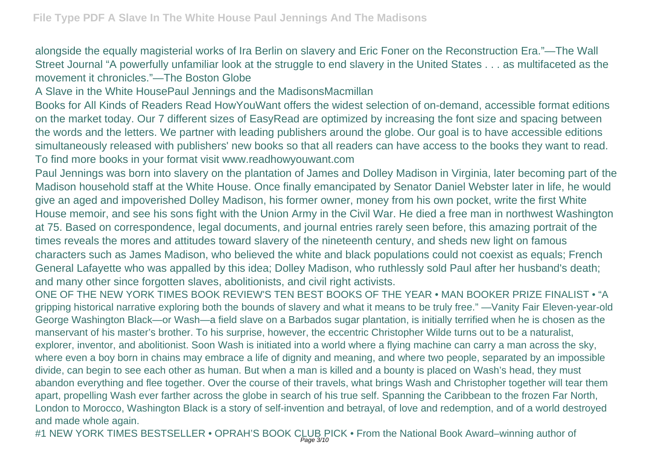alongside the equally magisterial works of Ira Berlin on slavery and Eric Foner on the Reconstruction Era."—The Wall Street Journal "A powerfully unfamiliar look at the struggle to end slavery in the United States . . . as multifaceted as the movement it chronicles."—The Boston Globe

A Slave in the White HousePaul Jennings and the MadisonsMacmillan

Books for All Kinds of Readers Read HowYouWant offers the widest selection of on-demand, accessible format editions on the market today. Our 7 different sizes of EasyRead are optimized by increasing the font size and spacing between the words and the letters. We partner with leading publishers around the globe. Our goal is to have accessible editions simultaneously released with publishers' new books so that all readers can have access to the books they want to read. To find more books in your format visit www.readhowyouwant.com

Paul Jennings was born into slavery on the plantation of James and Dolley Madison in Virginia, later becoming part of the Madison household staff at the White House. Once finally emancipated by Senator Daniel Webster later in life, he would give an aged and impoverished Dolley Madison, his former owner, money from his own pocket, write the first White House memoir, and see his sons fight with the Union Army in the Civil War. He died a free man in northwest Washington at 75. Based on correspondence, legal documents, and journal entries rarely seen before, this amazing portrait of the times reveals the mores and attitudes toward slavery of the nineteenth century, and sheds new light on famous characters such as James Madison, who believed the white and black populations could not coexist as equals; French General Lafayette who was appalled by this idea; Dolley Madison, who ruthlessly sold Paul after her husband's death; and many other since forgotten slaves, abolitionists, and civil right activists.

ONE OF THE NEW YORK TIMES BOOK REVIEW'S TEN BEST BOOKS OF THE YEAR • MAN BOOKER PRIZE FINALIST • "A gripping historical narrative exploring both the bounds of slavery and what it means to be truly free." —Vanity Fair Eleven-year-old George Washington Black—or Wash—a field slave on a Barbados sugar plantation, is initially terrified when he is chosen as the manservant of his master's brother. To his surprise, however, the eccentric Christopher Wilde turns out to be a naturalist, explorer, inventor, and abolitionist. Soon Wash is initiated into a world where a flying machine can carry a man across the sky, where even a boy born in chains may embrace a life of dignity and meaning, and where two people, separated by an impossible divide, can begin to see each other as human. But when a man is killed and a bounty is placed on Wash's head, they must abandon everything and flee together. Over the course of their travels, what brings Wash and Christopher together will tear them apart, propelling Wash ever farther across the globe in search of his true self. Spanning the Caribbean to the frozen Far North, London to Morocco, Washington Black is a story of self-invention and betrayal, of love and redemption, and of a world destroyed and made whole again.

#1 NEW YORK TIMES BESTSELLER • OPRAH'S BOOK CLUB PICK • From the National Book Award–winning author of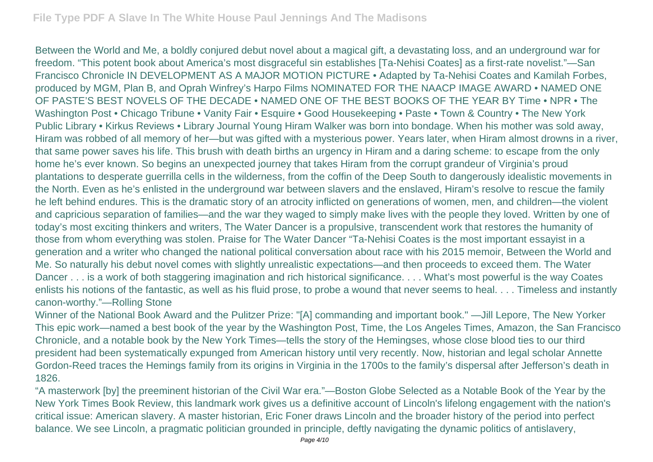Between the World and Me, a boldly conjured debut novel about a magical gift, a devastating loss, and an underground war for freedom. "This potent book about America's most disgraceful sin establishes [Ta-Nehisi Coates] as a first-rate novelist."—San Francisco Chronicle IN DEVELOPMENT AS A MAJOR MOTION PICTURE • Adapted by Ta-Nehisi Coates and Kamilah Forbes, produced by MGM, Plan B, and Oprah Winfrey's Harpo Films NOMINATED FOR THE NAACP IMAGE AWARD • NAMED ONE OF PASTE'S BEST NOVELS OF THE DECADE • NAMED ONE OF THE BEST BOOKS OF THE YEAR BY Time • NPR • The Washington Post • Chicago Tribune • Vanity Fair • Esquire • Good Housekeeping • Paste • Town & Country • The New York Public Library • Kirkus Reviews • Library Journal Young Hiram Walker was born into bondage. When his mother was sold away, Hiram was robbed of all memory of her—but was gifted with a mysterious power. Years later, when Hiram almost drowns in a river, that same power saves his life. This brush with death births an urgency in Hiram and a daring scheme: to escape from the only home he's ever known. So begins an unexpected journey that takes Hiram from the corrupt grandeur of Virginia's proud plantations to desperate guerrilla cells in the wilderness, from the coffin of the Deep South to dangerously idealistic movements in the North. Even as he's enlisted in the underground war between slavers and the enslaved, Hiram's resolve to rescue the family he left behind endures. This is the dramatic story of an atrocity inflicted on generations of women, men, and children—the violent and capricious separation of families—and the war they waged to simply make lives with the people they loved. Written by one of today's most exciting thinkers and writers, The Water Dancer is a propulsive, transcendent work that restores the humanity of those from whom everything was stolen. Praise for The Water Dancer "Ta-Nehisi Coates is the most important essayist in a generation and a writer who changed the national political conversation about race with his 2015 memoir, Between the World and Me. So naturally his debut novel comes with slightly unrealistic expectations—and then proceeds to exceed them. The Water Dancer . . . is a work of both staggering imagination and rich historical significance. . . . What's most powerful is the way Coates enlists his notions of the fantastic, as well as his fluid prose, to probe a wound that never seems to heal. . . . Timeless and instantly canon-worthy."—Rolling Stone

Winner of the National Book Award and the Pulitzer Prize: "[A] commanding and important book." —Jill Lepore, The New Yorker This epic work—named a best book of the year by the Washington Post, Time, the Los Angeles Times, Amazon, the San Francisco Chronicle, and a notable book by the New York Times—tells the story of the Hemingses, whose close blood ties to our third president had been systematically expunged from American history until very recently. Now, historian and legal scholar Annette Gordon-Reed traces the Hemings family from its origins in Virginia in the 1700s to the family's dispersal after Jefferson's death in 1826.

"A masterwork [by] the preeminent historian of the Civil War era."—Boston Globe Selected as a Notable Book of the Year by the New York Times Book Review, this landmark work gives us a definitive account of Lincoln's lifelong engagement with the nation's critical issue: American slavery. A master historian, Eric Foner draws Lincoln and the broader history of the period into perfect balance. We see Lincoln, a pragmatic politician grounded in principle, deftly navigating the dynamic politics of antislavery,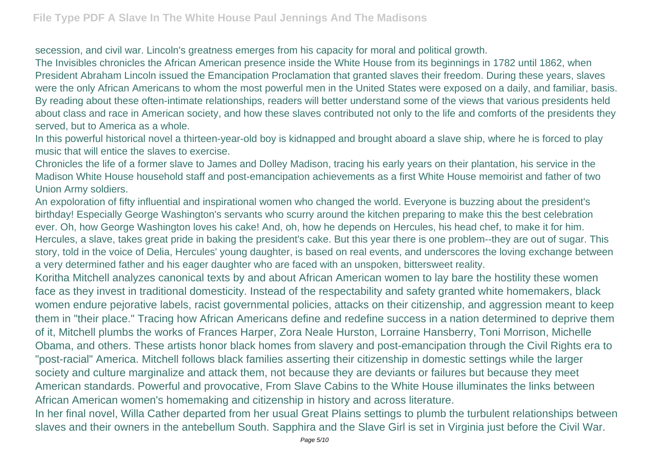secession, and civil war. Lincoln's greatness emerges from his capacity for moral and political growth.

The Invisibles chronicles the African American presence inside the White House from its beginnings in 1782 until 1862, when President Abraham Lincoln issued the Emancipation Proclamation that granted slaves their freedom. During these years, slaves were the only African Americans to whom the most powerful men in the United States were exposed on a daily, and familiar, basis. By reading about these often-intimate relationships, readers will better understand some of the views that various presidents held about class and race in American society, and how these slaves contributed not only to the life and comforts of the presidents they served, but to America as a whole.

In this powerful historical novel a thirteen-year-old boy is kidnapped and brought aboard a slave ship, where he is forced to play music that will entice the slaves to exercise.

Chronicles the life of a former slave to James and Dolley Madison, tracing his early years on their plantation, his service in the Madison White House household staff and post-emancipation achievements as a first White House memoirist and father of two Union Army soldiers.

An expoloration of fifty influential and inspirational women who changed the world. Everyone is buzzing about the president's birthday! Especially George Washington's servants who scurry around the kitchen preparing to make this the best celebration ever. Oh, how George Washington loves his cake! And, oh, how he depends on Hercules, his head chef, to make it for him. Hercules, a slave, takes great pride in baking the president's cake. But this year there is one problem--they are out of sugar. This story, told in the voice of Delia, Hercules' young daughter, is based on real events, and underscores the loving exchange between a very determined father and his eager daughter who are faced with an unspoken, bittersweet reality.

Koritha Mitchell analyzes canonical texts by and about African American women to lay bare the hostility these women face as they invest in traditional domesticity. Instead of the respectability and safety granted white homemakers, black women endure pejorative labels, racist governmental policies, attacks on their citizenship, and aggression meant to keep them in "their place." Tracing how African Americans define and redefine success in a nation determined to deprive them of it, Mitchell plumbs the works of Frances Harper, Zora Neale Hurston, Lorraine Hansberry, Toni Morrison, Michelle Obama, and others. These artists honor black homes from slavery and post-emancipation through the Civil Rights era to "post-racial" America. Mitchell follows black families asserting their citizenship in domestic settings while the larger society and culture marginalize and attack them, not because they are deviants or failures but because they meet American standards. Powerful and provocative, From Slave Cabins to the White House illuminates the links between African American women's homemaking and citizenship in history and across literature.

In her final novel, Willa Cather departed from her usual Great Plains settings to plumb the turbulent relationships between slaves and their owners in the antebellum South. Sapphira and the Slave Girl is set in Virginia just before the Civil War.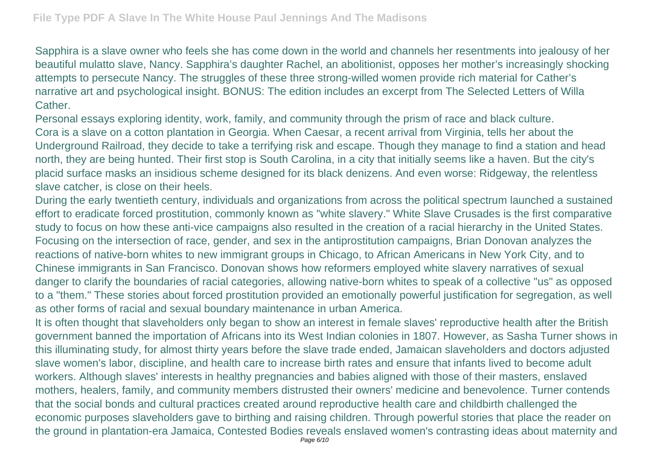Sapphira is a slave owner who feels she has come down in the world and channels her resentments into jealousy of her beautiful mulatto slave, Nancy. Sapphira's daughter Rachel, an abolitionist, opposes her mother's increasingly shocking attempts to persecute Nancy. The struggles of these three strong-willed women provide rich material for Cather's narrative art and psychological insight. BONUS: The edition includes an excerpt from The Selected Letters of Willa **Cather** 

Personal essays exploring identity, work, family, and community through the prism of race and black culture. Cora is a slave on a cotton plantation in Georgia. When Caesar, a recent arrival from Virginia, tells her about the Underground Railroad, they decide to take a terrifying risk and escape. Though they manage to find a station and head north, they are being hunted. Their first stop is South Carolina, in a city that initially seems like a haven. But the city's placid surface masks an insidious scheme designed for its black denizens. And even worse: Ridgeway, the relentless slave catcher, is close on their heels.

During the early twentieth century, individuals and organizations from across the political spectrum launched a sustained effort to eradicate forced prostitution, commonly known as "white slavery." White Slave Crusades is the first comparative study to focus on how these anti-vice campaigns also resulted in the creation of a racial hierarchy in the United States. Focusing on the intersection of race, gender, and sex in the antiprostitution campaigns, Brian Donovan analyzes the reactions of native-born whites to new immigrant groups in Chicago, to African Americans in New York City, and to Chinese immigrants in San Francisco. Donovan shows how reformers employed white slavery narratives of sexual danger to clarify the boundaries of racial categories, allowing native-born whites to speak of a collective "us" as opposed to a "them." These stories about forced prostitution provided an emotionally powerful justification for segregation, as well as other forms of racial and sexual boundary maintenance in urban America.

It is often thought that slaveholders only began to show an interest in female slaves' reproductive health after the British government banned the importation of Africans into its West Indian colonies in 1807. However, as Sasha Turner shows in this illuminating study, for almost thirty years before the slave trade ended, Jamaican slaveholders and doctors adjusted slave women's labor, discipline, and health care to increase birth rates and ensure that infants lived to become adult workers. Although slaves' interests in healthy pregnancies and babies aligned with those of their masters, enslaved mothers, healers, family, and community members distrusted their owners' medicine and benevolence. Turner contends that the social bonds and cultural practices created around reproductive health care and childbirth challenged the economic purposes slaveholders gave to birthing and raising children. Through powerful stories that place the reader on the ground in plantation-era Jamaica, Contested Bodies reveals enslaved women's contrasting ideas about maternity and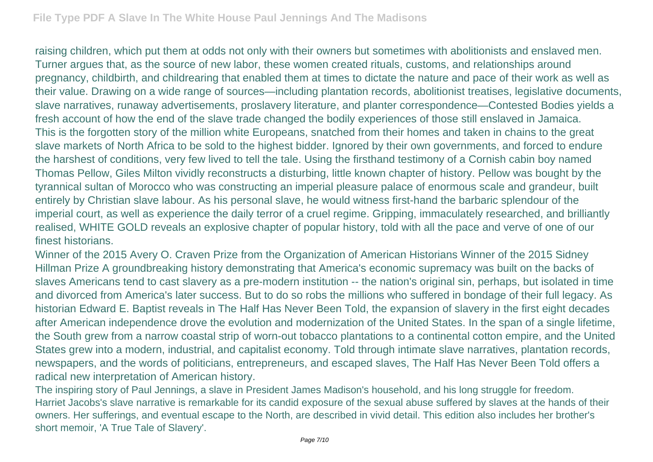raising children, which put them at odds not only with their owners but sometimes with abolitionists and enslaved men. Turner argues that, as the source of new labor, these women created rituals, customs, and relationships around pregnancy, childbirth, and childrearing that enabled them at times to dictate the nature and pace of their work as well as their value. Drawing on a wide range of sources—including plantation records, abolitionist treatises, legislative documents, slave narratives, runaway advertisements, proslavery literature, and planter correspondence—Contested Bodies yields a fresh account of how the end of the slave trade changed the bodily experiences of those still enslaved in Jamaica. This is the forgotten story of the million white Europeans, snatched from their homes and taken in chains to the great slave markets of North Africa to be sold to the highest bidder. Ignored by their own governments, and forced to endure the harshest of conditions, very few lived to tell the tale. Using the firsthand testimony of a Cornish cabin boy named Thomas Pellow, Giles Milton vividly reconstructs a disturbing, little known chapter of history. Pellow was bought by the tyrannical sultan of Morocco who was constructing an imperial pleasure palace of enormous scale and grandeur, built entirely by Christian slave labour. As his personal slave, he would witness first-hand the barbaric splendour of the imperial court, as well as experience the daily terror of a cruel regime. Gripping, immaculately researched, and brilliantly realised, WHITE GOLD reveals an explosive chapter of popular history, told with all the pace and verve of one of our finest historians.

Winner of the 2015 Avery O. Craven Prize from the Organization of American Historians Winner of the 2015 Sidney Hillman Prize A groundbreaking history demonstrating that America's economic supremacy was built on the backs of slaves Americans tend to cast slavery as a pre-modern institution -- the nation's original sin, perhaps, but isolated in time and divorced from America's later success. But to do so robs the millions who suffered in bondage of their full legacy. As historian Edward E. Baptist reveals in The Half Has Never Been Told, the expansion of slavery in the first eight decades after American independence drove the evolution and modernization of the United States. In the span of a single lifetime, the South grew from a narrow coastal strip of worn-out tobacco plantations to a continental cotton empire, and the United States grew into a modern, industrial, and capitalist economy. Told through intimate slave narratives, plantation records, newspapers, and the words of politicians, entrepreneurs, and escaped slaves, The Half Has Never Been Told offers a radical new interpretation of American history.

The inspiring story of Paul Jennings, a slave in President James Madison's household, and his long struggle for freedom. Harriet Jacobs's slave narrative is remarkable for its candid exposure of the sexual abuse suffered by slaves at the hands of their owners. Her sufferings, and eventual escape to the North, are described in vivid detail. This edition also includes her brother's short memoir, 'A True Tale of Slavery'.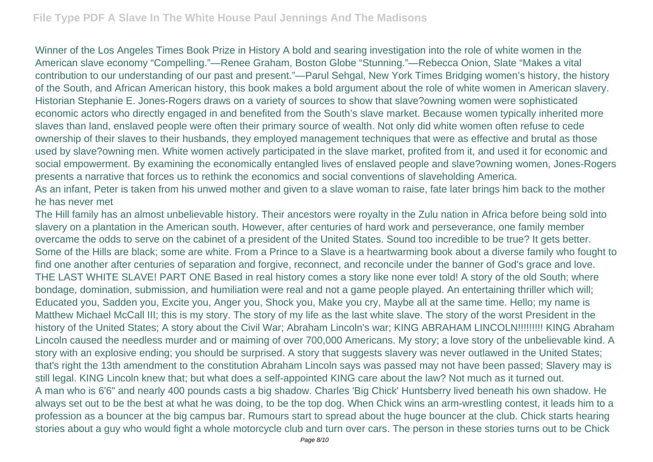Winner of the Los Angeles Times Book Prize in History A bold and searing investigation into the role of white women in the American slave economy "Compelling."—Renee Graham, Boston Globe "Stunning."—Rebecca Onion, Slate "Makes a vital contribution to our understanding of our past and present."—Parul Sehgal, New York Times Bridging women's history, the history of the South, and African American history, this book makes a bold argument about the role of white women in American slavery. Historian Stephanie E. Jones-Rogers draws on a variety of sources to show that slave?owning women were sophisticated economic actors who directly engaged in and benefited from the South's slave market. Because women typically inherited more slaves than land, enslaved people were often their primary source of wealth. Not only did white women often refuse to cede ownership of their slaves to their husbands, they employed management techniques that were as effective and brutal as those used by slave?owning men. White women actively participated in the slave market, profited from it, and used it for economic and social empowerment. By examining the economically entangled lives of enslaved people and slave?owning women, Jones-Rogers presents a narrative that forces us to rethink the economics and social conventions of slaveholding America. As an infant, Peter is taken from his unwed mother and given to a slave woman to raise, fate later brings him back to the mother

## he has never met

The Hill family has an almost unbelievable history. Their ancestors were royalty in the Zulu nation in Africa before being sold into slavery on a plantation in the American south. However, after centuries of hard work and perseverance, one family member overcame the odds to serve on the cabinet of a president of the United States. Sound too incredible to be true? It gets better. Some of the Hills are black; some are white. From a Prince to a Slave is a heartwarming book about a diverse family who fought to find one another after centuries of separation and forgive, reconnect, and reconcile under the banner of God's grace and love. THE LAST WHITE SLAVE! PART ONE Based in real history comes a story like none ever told! A story of the old South; where bondage, domination, submission, and humiliation were real and not a game people played. An entertaining thriller which will; Educated you, Sadden you, Excite you, Anger you, Shock you, Make you cry, Maybe all at the same time. Hello; my name is Matthew Michael McCall III; this is my story. The story of my life as the last white slave. The story of the worst President in the history of the United States; A story about the Civil War; Abraham Lincoln's war; KING ABRAHAM LINCOLN!!!!!!!!! KING Abraham Lincoln caused the needless murder and or maiming of over 700,000 Americans. My story; a love story of the unbelievable kind. A story with an explosive ending; you should be surprised. A story that suggests slavery was never outlawed in the United States; that's right the 13th amendment to the constitution Abraham Lincoln says was passed may not have been passed; Slavery may is still legal. KING Lincoln knew that; but what does a self-appointed KING care about the law? Not much as it turned out. A man who is 6'6" and nearly 400 pounds casts a big shadow. Charles 'Big Chick' Huntsberry lived beneath his own shadow. He always set out to be the best at what he was doing, to be the top dog. When Chick wins an arm-wrestling contest, it leads him to a profession as a bouncer at the big campus bar. Rumours start to spread about the huge bouncer at the club. Chick starts hearing stories about a guy who would fight a whole motorcycle club and turn over cars. The person in these stories turns out to be Chick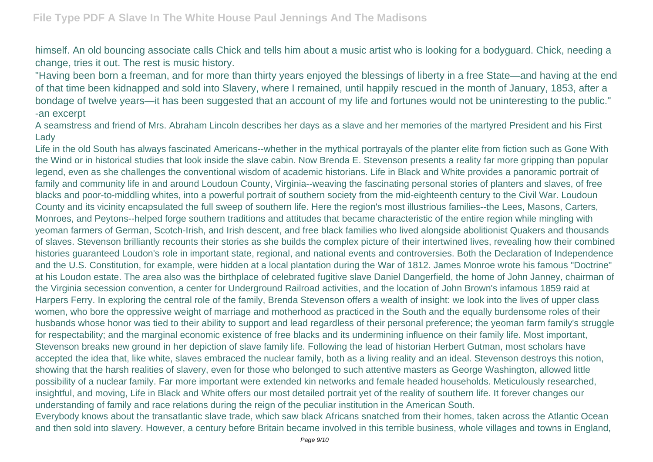himself. An old bouncing associate calls Chick and tells him about a music artist who is looking for a bodyguard. Chick, needing a change, tries it out. The rest is music history.

"Having been born a freeman, and for more than thirty years enjoyed the blessings of liberty in a free State—and having at the end of that time been kidnapped and sold into Slavery, where I remained, until happily rescued in the month of January, 1853, after a bondage of twelve years—it has been suggested that an account of my life and fortunes would not be uninteresting to the public." -an excerpt

A seamstress and friend of Mrs. Abraham Lincoln describes her days as a slave and her memories of the martyred President and his First Lady

Life in the old South has always fascinated Americans--whether in the mythical portrayals of the planter elite from fiction such as Gone With the Wind or in historical studies that look inside the slave cabin. Now Brenda E. Stevenson presents a reality far more gripping than popular legend, even as she challenges the conventional wisdom of academic historians. Life in Black and White provides a panoramic portrait of family and community life in and around Loudoun County, Virginia--weaving the fascinating personal stories of planters and slaves, of free blacks and poor-to-middling whites, into a powerful portrait of southern society from the mid-eighteenth century to the Civil War. Loudoun County and its vicinity encapsulated the full sweep of southern life. Here the region's most illustrious families--the Lees, Masons, Carters, Monroes, and Peytons--helped forge southern traditions and attitudes that became characteristic of the entire region while mingling with yeoman farmers of German, Scotch-Irish, and Irish descent, and free black families who lived alongside abolitionist Quakers and thousands of slaves. Stevenson brilliantly recounts their stories as she builds the complex picture of their intertwined lives, revealing how their combined histories guaranteed Loudon's role in important state, regional, and national events and controversies. Both the Declaration of Independence and the U.S. Constitution, for example, were hidden at a local plantation during the War of 1812. James Monroe wrote his famous "Doctrine" at his Loudon estate. The area also was the birthplace of celebrated fugitive slave Daniel Dangerfield, the home of John Janney, chairman of the Virginia secession convention, a center for Underground Railroad activities, and the location of John Brown's infamous 1859 raid at Harpers Ferry. In exploring the central role of the family, Brenda Stevenson offers a wealth of insight: we look into the lives of upper class women, who bore the oppressive weight of marriage and motherhood as practiced in the South and the equally burdensome roles of their husbands whose honor was tied to their ability to support and lead regardless of their personal preference; the yeoman farm family's struggle for respectability; and the marginal economic existence of free blacks and its undermining influence on their family life. Most important, Stevenson breaks new ground in her depiction of slave family life. Following the lead of historian Herbert Gutman, most scholars have accepted the idea that, like white, slaves embraced the nuclear family, both as a living reality and an ideal. Stevenson destroys this notion, showing that the harsh realities of slavery, even for those who belonged to such attentive masters as George Washington, allowed little possibility of a nuclear family. Far more important were extended kin networks and female headed households. Meticulously researched, insightful, and moving, Life in Black and White offers our most detailed portrait yet of the reality of southern life. It forever changes our understanding of family and race relations during the reign of the peculiar institution in the American South. Everybody knows about the transatlantic slave trade, which saw black Africans snatched from their homes, taken across the Atlantic Ocean

and then sold into slavery. However, a century before Britain became involved in this terrible business, whole villages and towns in England,